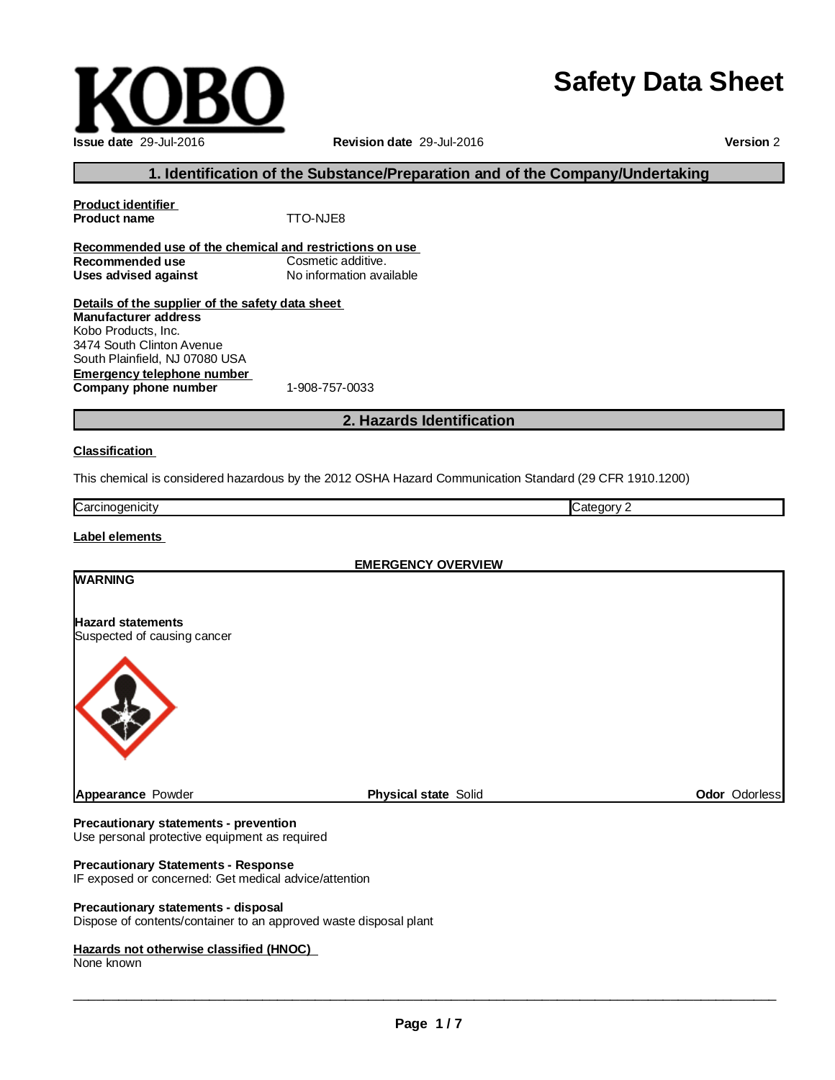# **Safety Data Sheet**

| <b>Issue date 29-Jul-2016</b> |
|-------------------------------|

**Revision date** 29-Jul-2016

**Version** 2

# **1. Identification of the Substance/Preparation and of the Company/Undertaking**

| <b>Product identifier</b>                               |                          |  |  |  |
|---------------------------------------------------------|--------------------------|--|--|--|
| <b>Product name</b>                                     | TTO-NJE8                 |  |  |  |
|                                                         |                          |  |  |  |
| Recommended use of the chemical and restrictions on use |                          |  |  |  |
| Recommended use                                         | Cosmetic additive.       |  |  |  |
| Uses advised against                                    | No information available |  |  |  |
| Details of the supplier of the safety data sheet        |                          |  |  |  |
| <b>Manufacturer address</b>                             |                          |  |  |  |
| Kobo Products, Inc.                                     |                          |  |  |  |
| 3474 South Clinton Avenue                               |                          |  |  |  |
| South Plainfield, NJ 07080 USA                          |                          |  |  |  |
| Emergency telephone number                              |                          |  |  |  |
|                                                         |                          |  |  |  |

**Company phone number** 1-908-757-0033

# **2. Hazards Identification**

### **Classification**

This chemical is considered hazardous by the 2012 OSHA Hazard Communication Standard (29 CFR 1910.1200)

| Carcir<br>inodenicity | ∴atenor<br>. . |
|-----------------------|----------------|
|                       |                |

### **Label elements**

| <b>EMERGENCY OVERVIEW</b>                               |                             |               |
|---------------------------------------------------------|-----------------------------|---------------|
| <b>WARNING</b>                                          |                             |               |
| <b>Hazard statements</b><br>Suspected of causing cancer |                             |               |
|                                                         |                             |               |
| Appearance Powder                                       | <b>Physical state Solid</b> | Odor Odorless |
| Procautionary statements - provention                   |                             |               |

#### **Precautionary statements - prevention** Use personal protective equipment as required

# **Precautionary Statements - Response**

IF exposed or concerned: Get medical advice/attention

### **Precautionary statements - disposal**

Dispose of contents/container to an approved waste disposal plant

### **Hazards not otherwise classified (HNOC)**

None known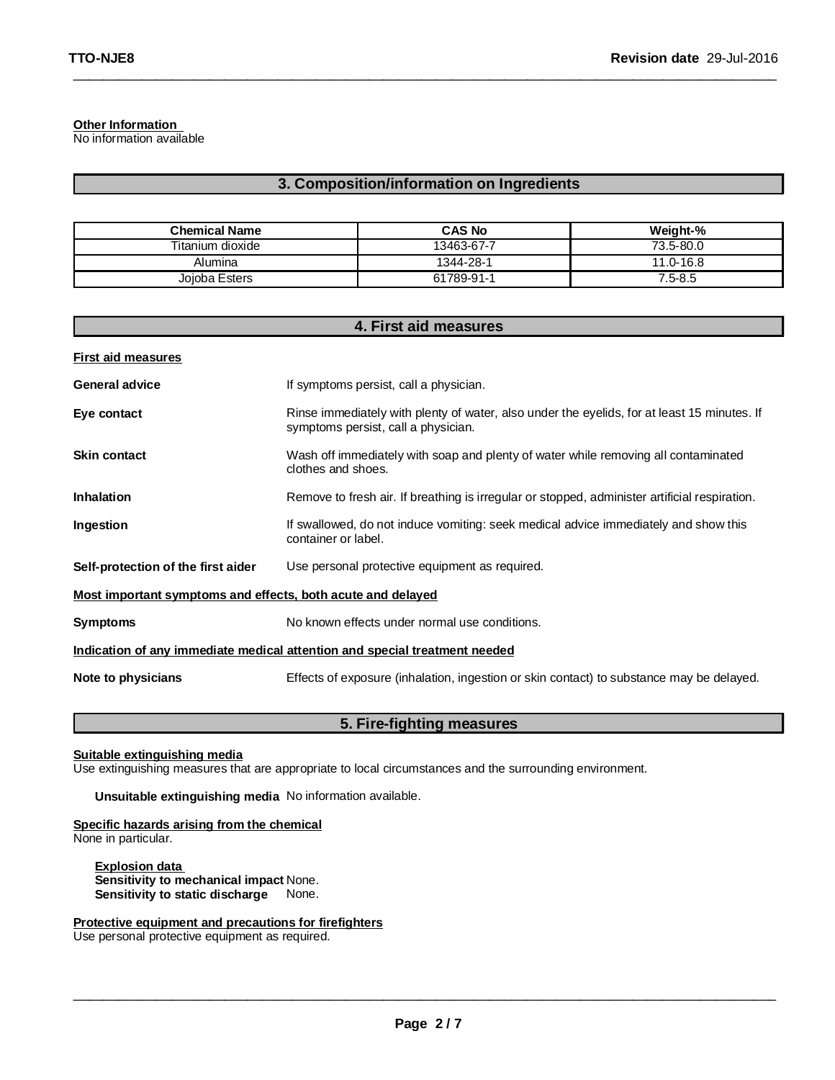### **Other Information**

No information available

# **3. Composition/information on Ingredients**

\_\_\_\_\_\_\_\_\_\_\_\_\_\_\_\_\_\_\_\_\_\_\_\_\_\_\_\_\_\_\_\_\_\_\_\_\_\_\_\_\_\_\_\_\_\_\_\_\_\_\_\_\_\_\_\_\_\_\_\_\_\_\_\_\_\_\_\_\_\_\_\_\_\_\_\_\_\_\_\_\_\_\_\_\_\_\_\_\_\_\_\_\_

| <b>Chemical Name</b> | <b>CAS No</b> | Weight-%    |
|----------------------|---------------|-------------|
| Titanium dioxide     | 13463-67-7    | 73.5-80.0   |
| Alumina              | 1344-28-1     | 11.0-16.8   |
| Joioba Esters        | 61789-91-1    | $7.5 - 8.5$ |

| 4. First aid measures                                                      |                                                                                                                                    |  |  |
|----------------------------------------------------------------------------|------------------------------------------------------------------------------------------------------------------------------------|--|--|
| <b>First aid measures</b>                                                  |                                                                                                                                    |  |  |
| <b>General advice</b>                                                      | If symptoms persist, call a physician.                                                                                             |  |  |
| Eye contact                                                                | Rinse immediately with plenty of water, also under the eyelids, for at least 15 minutes. If<br>symptoms persist, call a physician. |  |  |
| <b>Skin contact</b>                                                        | Wash off immediately with soap and plenty of water while removing all contaminated<br>clothes and shoes.                           |  |  |
| <b>Inhalation</b>                                                          | Remove to fresh air. If breathing is irregular or stopped, administer artificial respiration.                                      |  |  |
| Ingestion                                                                  | If swallowed, do not induce vomiting: seek medical advice immediately and show this<br>container or label.                         |  |  |
| Self-protection of the first aider                                         | Use personal protective equipment as required.                                                                                     |  |  |
| Most important symptoms and effects, both acute and delayed                |                                                                                                                                    |  |  |
| <b>Symptoms</b>                                                            | No known effects under normal use conditions.                                                                                      |  |  |
| Indication of any immediate medical attention and special treatment needed |                                                                                                                                    |  |  |
| Note to physicians                                                         | Effects of exposure (inhalation, ingestion or skin contact) to substance may be delayed.                                           |  |  |

# **5. Fire-fighting measures**

### **Suitable extinguishing media**

Use extinguishing measures that are appropriate to local circumstances and the surrounding environment.

### **Unsuitable extinguishing media** No information available.

#### **Specific hazards arising from the chemical** None in particular.

**Explosion data Sensitivity to mechanical impact** None. **Sensitivity to static discharge** None.

# **Protective equipment and precautions for firefighters**

Use personal protective equipment as required.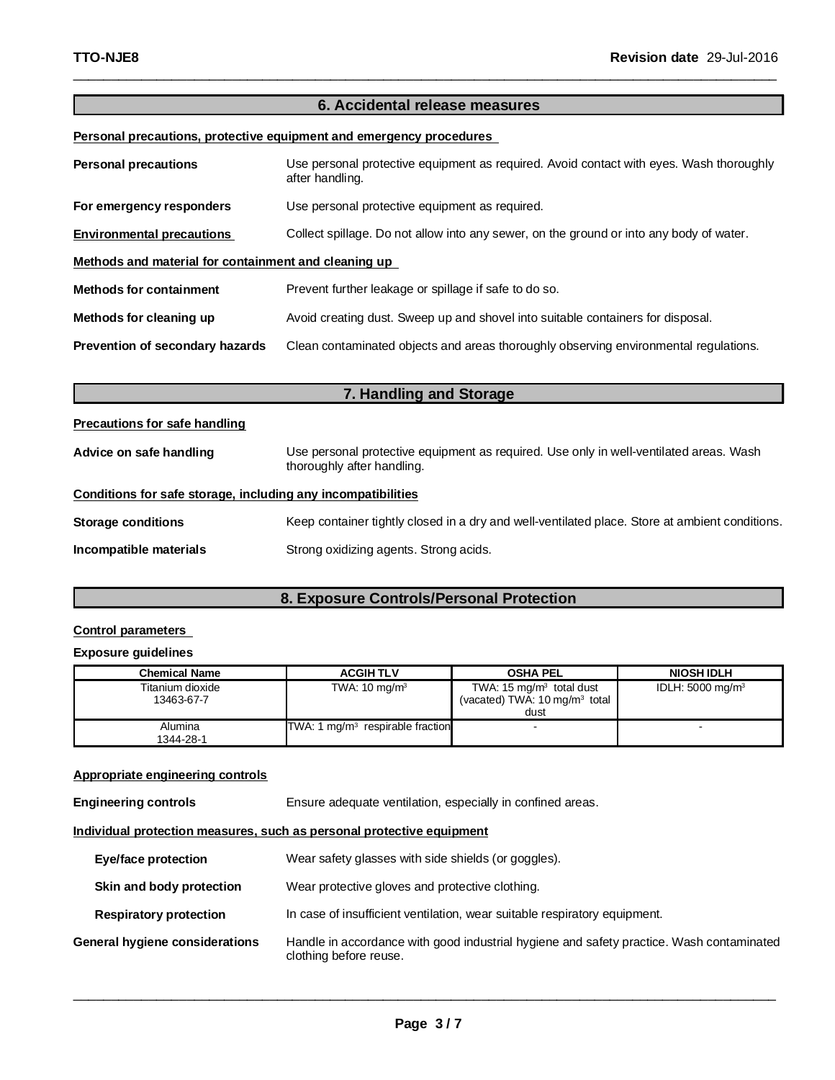# **6. Accidental release measures Personal precautions, protective equipment and emergency procedures Personal precautions** Use personal protective equipment as required. Avoid contact with eyes. Wash thoroughly after handling. For emergency responders Use personal protective equipment as required. **Environmental precautions** Collect spillage. Do not allow into any sewer, on the ground or into any body of water.

\_\_\_\_\_\_\_\_\_\_\_\_\_\_\_\_\_\_\_\_\_\_\_\_\_\_\_\_\_\_\_\_\_\_\_\_\_\_\_\_\_\_\_\_\_\_\_\_\_\_\_\_\_\_\_\_\_\_\_\_\_\_\_\_\_\_\_\_\_\_\_\_\_\_\_\_\_\_\_\_\_\_\_\_\_\_\_\_\_\_\_\_\_

**Methods and material for containment and cleaning up**

| <b>Methods for containment</b>  | Prevent further leakage or spillage if safe to do so.                                |
|---------------------------------|--------------------------------------------------------------------------------------|
| Methods for cleaning up         | Avoid creating dust. Sweep up and shovel into suitable containers for disposal.      |
| Prevention of secondary hazards | Clean contaminated objects and areas thoroughly observing environmental regulations. |

| 7. Handling and Storage                                      |                                                                                                                      |  |
|--------------------------------------------------------------|----------------------------------------------------------------------------------------------------------------------|--|
| <b>Precautions for safe handling</b>                         |                                                                                                                      |  |
| Advice on safe handling                                      | Use personal protective equipment as required. Use only in well-ventilated areas. Wash<br>thoroughly after handling. |  |
| Conditions for safe storage, including any incompatibilities |                                                                                                                      |  |
| Storage conditions                                           | Keep container tightly closed in a dry and well-ventilated place. Store at ambient conditions.                       |  |
| Incompatible materials                                       | Strong oxidizing agents. Strong acids.                                                                               |  |

# **8. Exposure Controls/Personal Protection**

# **Control parameters**

### **Exposure guidelines**

| Chemical Name                  | <b>ACGIHTLV</b>                    | <b>OSHA PEL</b>                                                                            | <b>NIOSH IDLH</b>           |
|--------------------------------|------------------------------------|--------------------------------------------------------------------------------------------|-----------------------------|
| Titanium dioxide<br>13463-67-7 | TWA: $10 \text{ mg/m}^3$           | TWA: $15 \text{ mg/m}^3$ total dust<br>(vacated) TWA: $10 \,\mathrm{mg/m^3}$ total<br>dust | IDLH: $5000 \text{ mg/m}^3$ |
| Alumina<br>1344-28-1           | TWA: 1 $mg/m3$ respirable fraction | $\overline{a}$                                                                             |                             |

### **Appropriate engineering controls**

**Engineering controls Ensure adequate ventilation, especially in confined areas.** 

**Individual protection measures, such as personal protective equipment**

| Eye/face protection                   | Wear safety glasses with side shields (or goggles).                                                                |
|---------------------------------------|--------------------------------------------------------------------------------------------------------------------|
| Skin and body protection              | Wear protective gloves and protective clothing.                                                                    |
| <b>Respiratory protection</b>         | In case of insufficient ventilation, wear suitable respiratory equipment.                                          |
| <b>General hygiene considerations</b> | Handle in accordance with good industrial hygiene and safety practice. Wash contaminated<br>clothing before reuse. |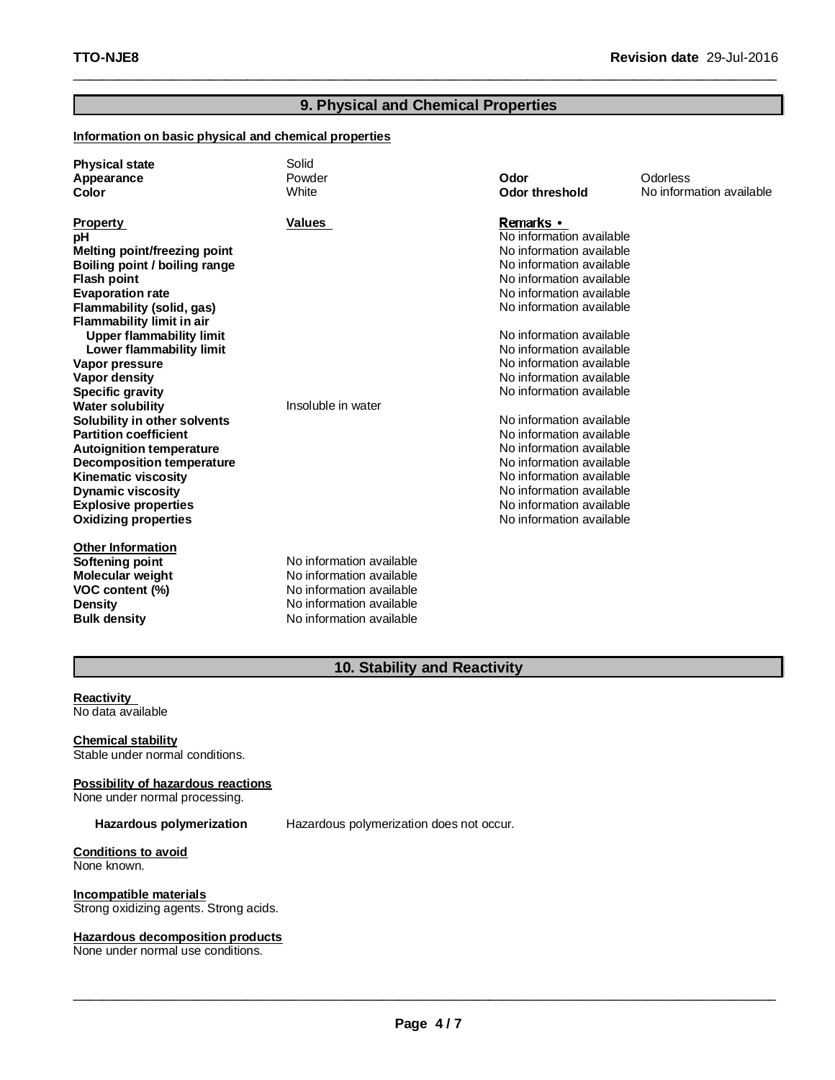# **9. Physical and Chemical Properties**

\_\_\_\_\_\_\_\_\_\_\_\_\_\_\_\_\_\_\_\_\_\_\_\_\_\_\_\_\_\_\_\_\_\_\_\_\_\_\_\_\_\_\_\_\_\_\_\_\_\_\_\_\_\_\_\_\_\_\_\_\_\_\_\_\_\_\_\_\_\_\_\_\_\_\_\_\_\_\_\_\_\_\_\_\_\_\_\_\_\_\_\_\_

# **Information on basic physical and chemical properties**

| <b>Physical state</b><br>Appearance<br>Color                                                                                                                                                                                                                                                                                                                                                                                                                                                                                                                                                                                                  | Solid<br>Powder<br>White                                                                                                                 | Odor<br><b>Odor threshold</b>                                                                                                                                                                                                                                                                                                                                                                                                                                                                                                                                 | Odorless<br>No information available |
|-----------------------------------------------------------------------------------------------------------------------------------------------------------------------------------------------------------------------------------------------------------------------------------------------------------------------------------------------------------------------------------------------------------------------------------------------------------------------------------------------------------------------------------------------------------------------------------------------------------------------------------------------|------------------------------------------------------------------------------------------------------------------------------------------|---------------------------------------------------------------------------------------------------------------------------------------------------------------------------------------------------------------------------------------------------------------------------------------------------------------------------------------------------------------------------------------------------------------------------------------------------------------------------------------------------------------------------------------------------------------|--------------------------------------|
| <b>Property</b><br>рH<br><b>Melting point/freezing point</b><br>Boiling point / boiling range<br><b>Flash point</b><br><b>Evaporation rate</b><br>Flammability (solid, gas)<br><b>Flammability limit in air</b><br><b>Upper flammability limit</b><br>Lower flammability limit<br>Vapor pressure<br><b>Vapor density</b><br><b>Specific gravity</b><br><b>Water solubility</b><br>Solubility in other solvents<br><b>Partition coefficient</b><br><b>Autoignition temperature</b><br><b>Decomposition temperature</b><br><b>Kinematic viscosity</b><br><b>Dynamic viscosity</b><br><b>Explosive properties</b><br><b>Oxidizing properties</b> | <b>Values</b><br>Insoluble in water                                                                                                      | Remarks •<br>No information available<br>No information available<br>No information available<br>No information available<br>No information available<br>No information available<br>No information available<br>No information available<br>No information available<br>No information available<br>No information available<br>No information available<br>No information available<br>No information available<br>No information available<br>No information available<br>No information available<br>No information available<br>No information available |                                      |
| <b>Other Information</b><br>Softening point<br><b>Molecular weight</b><br>VOC content (%)<br>Density<br><b>Bulk density</b>                                                                                                                                                                                                                                                                                                                                                                                                                                                                                                                   | No information available<br>No information available<br>No information available<br>No information available<br>No information available |                                                                                                                                                                                                                                                                                                                                                                                                                                                                                                                                                               |                                      |

# **10. Stability and Reactivity**

### **Reactivity** No data available

**Chemical stability** Stable under normal conditions.

# **Possibility of hazardous reactions**

None under normal processing.

**Hazardous polymerization** Hazardous polymerization does not occur.

**Conditions to avoid** None known.

**Incompatible materials** Strong oxidizing agents. Strong acids.

**Hazardous decomposition products** None under normal use conditions.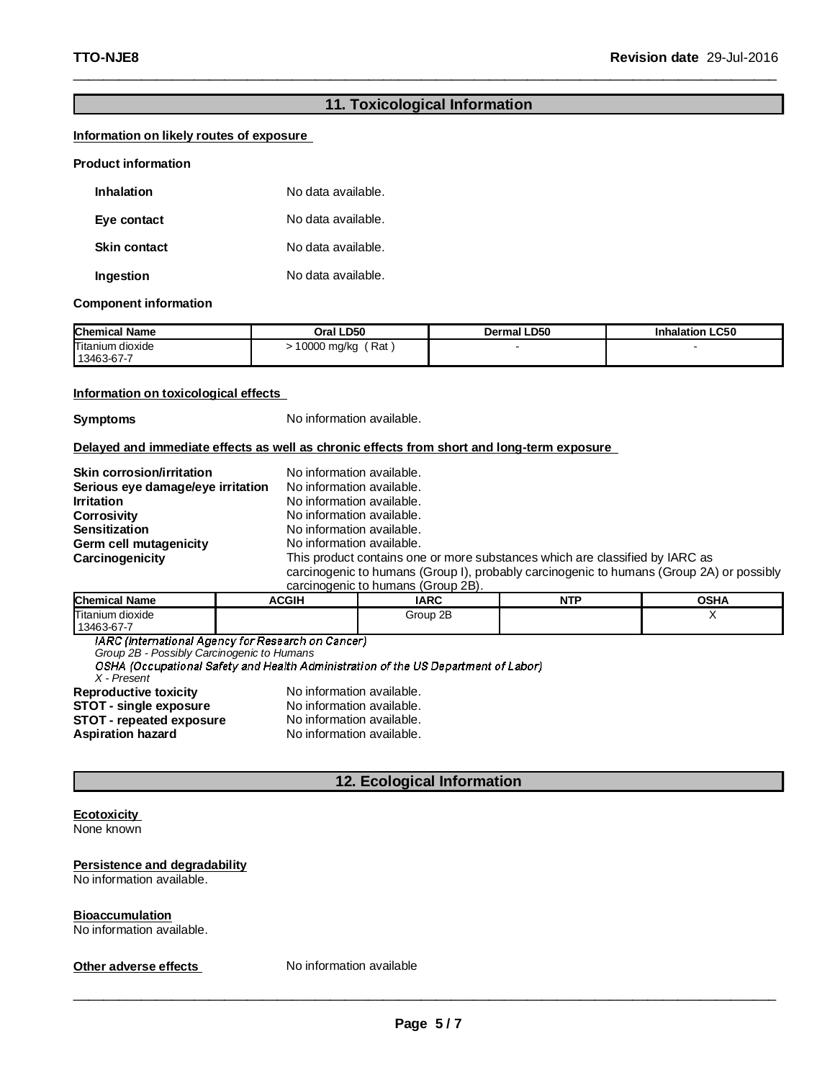# **11. Toxicological Information**

\_\_\_\_\_\_\_\_\_\_\_\_\_\_\_\_\_\_\_\_\_\_\_\_\_\_\_\_\_\_\_\_\_\_\_\_\_\_\_\_\_\_\_\_\_\_\_\_\_\_\_\_\_\_\_\_\_\_\_\_\_\_\_\_\_\_\_\_\_\_\_\_\_\_\_\_\_\_\_\_\_\_\_\_\_\_\_\_\_\_\_\_\_

### **Information on likely routes of exposure**

### **Product information**

| <b>Inhalation</b>   | No data available. |
|---------------------|--------------------|
| Eye contact         | No data available. |
| <b>Skin contact</b> | No data available. |
| Ingestion           | No data available. |

### **Component information**

| <b>Chemical Name</b>           | Oral LD50          | <b>Dermal LD50</b> | <b>Inhalation LC50</b> |
|--------------------------------|--------------------|--------------------|------------------------|
| Titanium dioxide<br>13463-67-7 | Rat<br>10000 mg/kg |                    |                        |

### **Information on toxicological effects**

**Symptoms** No information available.

**Delayed and immediate effects as well as chronic effects from short and long-term exposure**

| <b>Skin corrosion/irritation</b><br>Serious eye damage/eye irritation | No information available.<br>No information available.                                                                                                                   |
|-----------------------------------------------------------------------|--------------------------------------------------------------------------------------------------------------------------------------------------------------------------|
| <b>Irritation</b>                                                     | No information available.                                                                                                                                                |
| Corrosivity                                                           | No information available.                                                                                                                                                |
| <b>Sensitization</b>                                                  | No information available.                                                                                                                                                |
| Germ cell mutagenicity                                                | No information available.                                                                                                                                                |
| Carcinogenicity                                                       | This product contains one or more substances which are classified by IARC as<br>carcinogenic to humans (Group I), probably carcinogenic to humans (Group 2A) or possibly |

carcinogenic to humans (Group 2B).

| <b>Chemical Name</b>           | <b>ACGIH</b> | <b>IARC</b> | <b>NTP</b><br>. | OSHA |
|--------------------------------|--------------|-------------|-----------------|------|
| Titanium dioxide<br>13463-67-7 |              | Group 2B    |                 |      |

IARC (International Agency for Research on Cancer)

*Group 2B - Possibly Carcinogenic to Humans*

*X - Present*

**Reproductive toxicity <br><b>STOT** - single exposure<br>No information available. **STOT - single exposure** No information available.<br> **STOT - repeated exposure** No information available. **STOT - repeated exposure<br>Aspiration hazard No information available.** 

# **12. Ecological Information**

# **Ecotoxicity**

None known

### **Persistence and degradability**

No information available.

### **Bioaccumulation**

No information available.

**Other adverse effects** No information available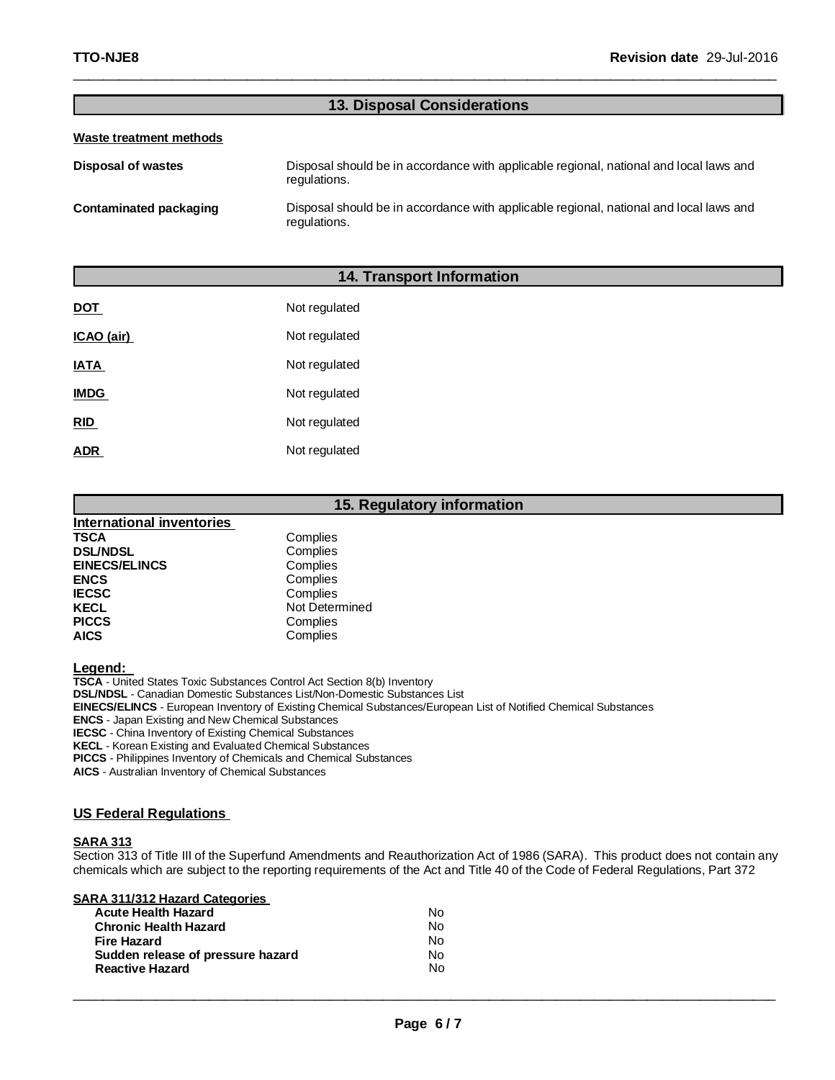# **13. Disposal Considerations**

\_\_\_\_\_\_\_\_\_\_\_\_\_\_\_\_\_\_\_\_\_\_\_\_\_\_\_\_\_\_\_\_\_\_\_\_\_\_\_\_\_\_\_\_\_\_\_\_\_\_\_\_\_\_\_\_\_\_\_\_\_\_\_\_\_\_\_\_\_\_\_\_\_\_\_\_\_\_\_\_\_\_\_\_\_\_\_\_\_\_\_\_\_

### **Waste treatment methods**

**Disposal of wastes** Disposal should be in accordance with applicable regional, national and local laws and regulations. **Contaminated packaging** Disposal should be in accordance with applicable regional, national and local laws and

# **14. Transport Information**

regulations.

| <b>DOT</b>  | Not regulated |
|-------------|---------------|
| ICAO (air)  | Not regulated |
| IATA        | Not regulated |
| <b>IMDG</b> | Not regulated |
| <b>RID</b>  | Not regulated |
| ADR         | Not regulated |

# **15. Regulatory information**

| <b>International inventories</b> |                |
|----------------------------------|----------------|
| <b>TSCA</b>                      | Complies       |
| <b>DSL/NDSL</b>                  | Complies       |
| <b>EINECS/ELINCS</b>             | Complies       |
| <b>ENCS</b>                      | Complies       |
| <b>IECSC</b>                     | Complies       |
| <b>KECL</b>                      | Not Determined |
| <b>PICCS</b>                     | Complies       |
| <b>AICS</b>                      | Complies       |

**Legend:**

**TSCA** - United States Toxic Substances Control Act Section 8(b) Inventory **DSL/NDSL** - Canadian Domestic Substances List/Non-Domestic Substances List **EINECS/ELINCS** - European Inventory of Existing Chemical Substances/European List of Notified Chemical Substances **ENCS** - Japan Existing and New Chemical Substances **IECSC** - China Inventory of Existing Chemical Substances **KECL** - Korean Existing and Evaluated Chemical Substances **PICCS** - Philippines Inventory of Chemicals and Chemical Substances

**AICS** - Australian Inventory of Chemical Substances

### **US Federal Regulations**

### **SARA 313**

Section 313 of Title III of the Superfund Amendments and Reauthorization Act of 1986 (SARA). This product does not contain any chemicals which are subject to the reporting requirements of the Act and Title 40 of the Code of Federal Regulations, Part 372

| <b>Acute Health Hazard</b>                                  | N٥       |
|-------------------------------------------------------------|----------|
| <b>Chronic Health Hazard</b>                                | N٥       |
| Fire Hazard                                                 | N٥       |
| Sudden release of pressure hazard<br><b>Reactive Hazard</b> | N٥<br>N٥ |